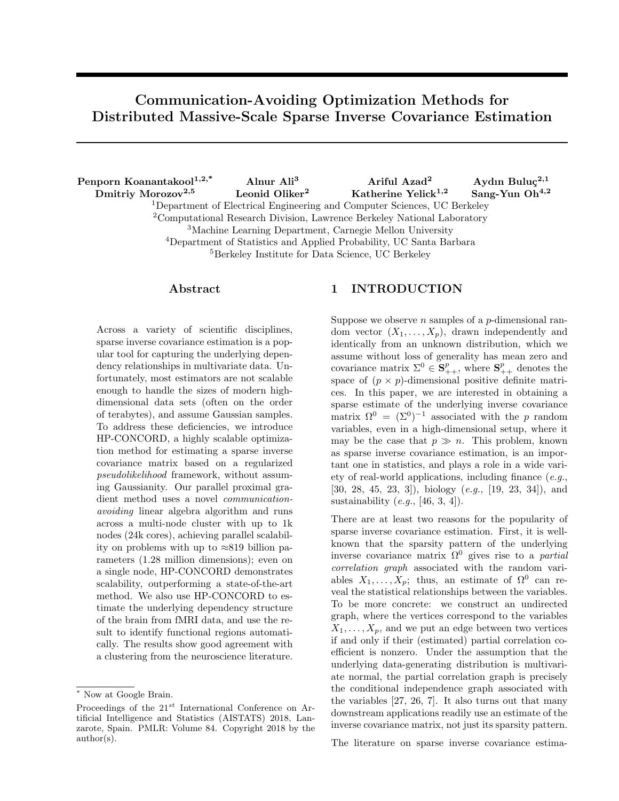# Communication-Avoiding Optimization Methods for Distributed Massive-Scale Sparse Inverse Covariance Estimation

Penporn Koanantakool<sup>1,2,\*</sup> Alnur Ali<sup>3</sup> Ariful Azad<sup>2</sup> Aydın Buluç<sup>2,1</sup> Dmitriy Morozov<sup>2,5</sup> Leonid Oliker<sup>2</sup> Katherine Yelick<sup>1,2</sup> Sang-Yun Oh<sup>4,2</sup> Department of Electrical Engineering and Computer Sciences, UC Berkeley Computational Research Division, Lawrence Berkeley National Laboratory Machine Learning Department, Carnegie Mellon University Department of Statistics and Applied Probability, UC Santa Barbara Berkeley Institute for Data Science, UC Berkeley

### Abstract

Across a variety of scientific disciplines, sparse inverse covariance estimation is a popular tool for capturing the underlying dependency relationships in multivariate data. Unfortunately, most estimators are not scalable enough to handle the sizes of modern highdimensional data sets (often on the order of terabytes), and assume Gaussian samples. To address these deficiencies, we introduce HP-CONCORD, a highly scalable optimization method for estimating a sparse inverse covariance matrix based on a regularized pseudolikelihood framework, without assuming Gaussianity. Our parallel proximal gradient method uses a novel *communication*avoiding linear algebra algorithm and runs across a multi-node cluster with up to 1k nodes (24k cores), achieving parallel scalability on problems with up to  $\approx 819$  billion parameters (1.28 million dimensions); even on a single node, HP-CONCORD demonstrates scalability, outperforming a state-of-the-art method. We also use HP-CONCORD to estimate the underlying dependency structure of the brain from fMRI data, and use the result to identify functional regions automatically. The results show good agreement with a clustering from the neuroscience literature.

# 1 INTRODUCTION

Suppose we observe *n* samples of a *p*-dimensional random vector  $(X_1, \ldots, X_p)$ , drawn independently and identically from an unknown distribution, which we assume without loss of generality has mean zero and covariance matrix  $\Sigma^0 \in \mathbf{S}_{++}^p$ , where  $\mathbf{S}_{++}^p$  denotes the space of  $(p \times p)$ -dimensional positive definite matrices. In this paper, we are interested in obtaining a sparse estimate of the underlying inverse covariance matrix  $\Omega^0 = (\Sigma^0)^{-1}$  associated with the p random variables, even in a high-dimensional setup, where it may be the case that  $p \gg n$ . This problem, known as sparse inverse covariance estimation, is an important one in statistics, and plays a role in a wide variety of real-world applications, including finance (e.g., [\[30,](#page-9-0) [28,](#page-9-1) [45,](#page-10-0) [23,](#page-9-2) [3\]](#page-8-0)), biology (e.g., [\[19,](#page-8-1) [23,](#page-9-2) [34\]](#page-9-3)), and sustainability  $(e.g., [46, 3, 4]).$  $(e.g., [46, 3, 4]).$  $(e.g., [46, 3, 4]).$  $(e.g., [46, 3, 4]).$  $(e.g., [46, 3, 4]).$ 

There are at least two reasons for the popularity of sparse inverse covariance estimation. First, it is wellknown that the sparsity pattern of the underlying inverse covariance matrix  $\Omega^0$  gives rise to a *partial* correlation graph associated with the random variables  $X_1, \ldots, X_p$ ; thus, an estimate of  $\Omega^0$  can reveal the statistical relationships between the variables. To be more concrete: we construct an undirected graph, where the vertices correspond to the variables  $X_1, \ldots, X_p$ , and we put an edge between two vertices if and only if their (estimated) partial correlation coefficient is nonzero. Under the assumption that the underlying data-generating distribution is multivariate normal, the partial correlation graph is precisely the conditional independence graph associated with the variables [\[27,](#page-9-4) [26,](#page-9-5) [7\]](#page-8-3). It also turns out that many downstream applications readily use an estimate of the inverse covariance matrix, not just its sparsity pattern.

The literature on sparse inverse covariance estima-

<sup>∗</sup> Now at Google Brain.

Proceedings of the  $21^{st}$  International Conference on Artificial Intelligence and Statistics (AISTATS) 2018, Lanzarote, Spain. PMLR: Volume 84. Copyright 2018 by the author(s).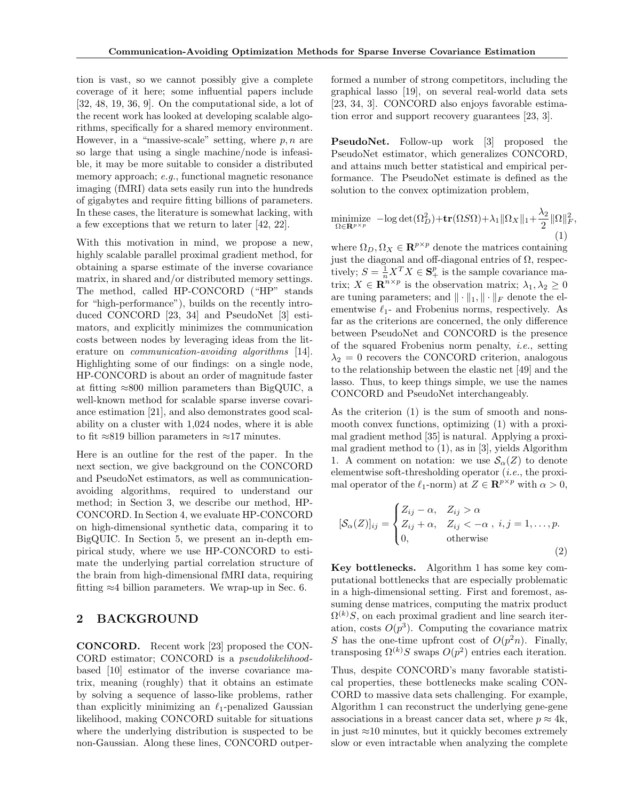tion is vast, so we cannot possibly give a complete coverage of it here; some influential papers include [\[32,](#page-9-6) [48,](#page-10-2) [19,](#page-8-1) [36,](#page-9-7) [9\]](#page-8-4). On the computational side, a lot of the recent work has looked at developing scalable algorithms, specifically for a shared memory environment. However, in a "massive-scale" setting, where  $p, n$  are so large that using a single machine/node is infeasible, it may be more suitable to consider a distributed memory approach; e.g., functional magnetic resonance imaging (fMRI) data sets easily run into the hundreds of gigabytes and require fitting billions of parameters. In these cases, the literature is somewhat lacking, with a few exceptions that we return to later [\[42,](#page-9-8) [22\]](#page-9-9).

With this motivation in mind, we propose a new, highly scalable parallel proximal gradient method, for obtaining a sparse estimate of the inverse covariance matrix, in shared and/or distributed memory settings. The method, called HP-CONCORD ("HP" stands for "high-performance"), builds on the recently introduced CONCORD [\[23,](#page-9-2) [34\]](#page-9-3) and PseudoNet [\[3\]](#page-8-0) estimators, and explicitly minimizes the communication costs between nodes by leveraging ideas from the literature on *communication-avoiding algorithms* [\[14\]](#page-8-5). Highlighting some of our findings: on a single node, HP-CONCORD is about an order of magnitude faster at fitting  $\approx 800$  million parameters than BigQUIC, a well-known method for scalable sparse inverse covariance estimation [\[21\]](#page-8-6), and also demonstrates good scalability on a cluster with 1,024 nodes, where it is able to fit  $\approx 819$  billion parameters in  $\approx 17$  minutes.

Here is an outline for the rest of the paper. In the next section, we give background on the CONCORD and PseudoNet estimators, as well as communicationavoiding algorithms, required to understand our method; in Section [3,](#page-2-0) we describe our method, HP-CONCORD. In Section [4,](#page-4-0) we evaluate HP-CONCORD on high-dimensional synthetic data, comparing it to BigQUIC. In Section [5,](#page-6-0) we present an in-depth empirical study, where we use HP-CONCORD to estimate the underlying partial correlation structure of the brain from high-dimensional fMRI data, requiring fitting  $\approx$ 4 billion parameters. We wrap-up in Sec. [6.](#page-7-0)

# 2 BACKGROUND

CONCORD. Recent work [\[23\]](#page-9-2) proposed the CON-CORD estimator; CONCORD is a pseudolikelihoodbased [\[10\]](#page-8-7) estimator of the inverse covariance matrix, meaning (roughly) that it obtains an estimate by solving a sequence of lasso-like problems, rather than explicitly minimizing an  $\ell_1$ -penalized Gaussian likelihood, making CONCORD suitable for situations where the underlying distribution is suspected to be non-Gaussian. Along these lines, CONCORD outperformed a number of strong competitors, including the graphical lasso [\[19\]](#page-8-1), on several real-world data sets [\[23,](#page-9-2) [34,](#page-9-3) [3\]](#page-8-0). CONCORD also enjoys favorable estimation error and support recovery guarantees [\[23,](#page-9-2) [3\]](#page-8-0).

PseudoNet. Follow-up work [\[3\]](#page-8-0) proposed the PseudoNet estimator, which generalizes CONCORD, and attains much better statistical and empirical performance. The PseudoNet estimate is defined as the solution to the convex optimization problem,

<span id="page-1-0"></span>
$$
\underset{\Omega \in \mathbf{R}^{p \times p}}{\text{minimize}} \quad -\log \det(\Omega_D^2) + \text{tr}(\Omega S \Omega) + \lambda_1 \|\Omega_X\|_1 + \frac{\lambda_2}{2} \|\Omega\|_F^2, \tag{1}
$$

where  $\Omega_D, \Omega_X \in \mathbb{R}^{p \times p}$  denote the matrices containing just the diagonal and off-diagonal entries of  $\Omega$ , respectively;  $S = \frac{1}{n} X^T X \in \mathbf{S}_+^p$  is the sample covariance matrix;  $X \in \mathbb{R}^{n \times p}$  is the observation matrix;  $\lambda_1, \lambda_2 \geq 0$ are tuning parameters; and  $\|\cdot\|_1, \|\cdot\|_F$  denote the elementwise  $\ell_1$ - and Frobenius norms, respectively. As far as the criterions are concerned, the only difference between PseudoNet and CONCORD is the presence of the squared Frobenius norm penalty, i.e., setting  $\lambda_2 = 0$  recovers the CONCORD criterion, analogous to the relationship between the elastic net [\[49\]](#page-10-3) and the lasso. Thus, to keep things simple, we use the names CONCORD and PseudoNet interchangeably.

As the criterion [\(1\)](#page-1-0) is the sum of smooth and nonsmooth convex functions, optimizing [\(1\)](#page-1-0) with a proximal gradient method [\[35\]](#page-9-10) is natural. Applying a proximal gradient method to [\(1\)](#page-1-0), as in [\[3\]](#page-8-0), yields Algorithm [1.](#page-2-1) A comment on notation: we use  $\mathcal{S}_{\alpha}(Z)$  to denote elementwise soft-thresholding operator  $(i.e.,$  the proximal operator of the  $\ell_1$ -norm) at  $Z \in \mathbb{R}^{p \times p}$  with  $\alpha > 0$ ,

<span id="page-1-1"></span>
$$
[\mathcal{S}_{\alpha}(Z)]_{ij} = \begin{cases} Z_{ij} - \alpha, & Z_{ij} > \alpha \\ Z_{ij} + \alpha, & Z_{ij} < -\alpha, \ i, j = 1, \dots, p. \\ 0, & \text{otherwise} \end{cases}
$$
(2)

Key bottlenecks. Algorithm [1](#page-2-1) has some key computational bottlenecks that are especially problematic in a high-dimensional setting. First and foremost, assuming dense matrices, computing the matrix product  $\Omega^{(k)}S$ , on each proximal gradient and line search iteration, costs  $O(p^3)$ . Computing the covariance matrix S has the one-time upfront cost of  $O(p^2n)$ . Finally, transposing  $\Omega^{(k)}S$  swaps  $O(p^2)$  entries each iteration.

Thus, despite CONCORD's many favorable statistical properties, these bottlenecks make scaling CON-CORD to massive data sets challenging. For example, Algorithm [1](#page-2-1) can reconstruct the underlying gene-gene associations in a breast cancer data set, where  $p \approx 4k$ , in just  $\approx$ 10 minutes, but it quickly becomes extremely slow or even intractable when analyzing the complete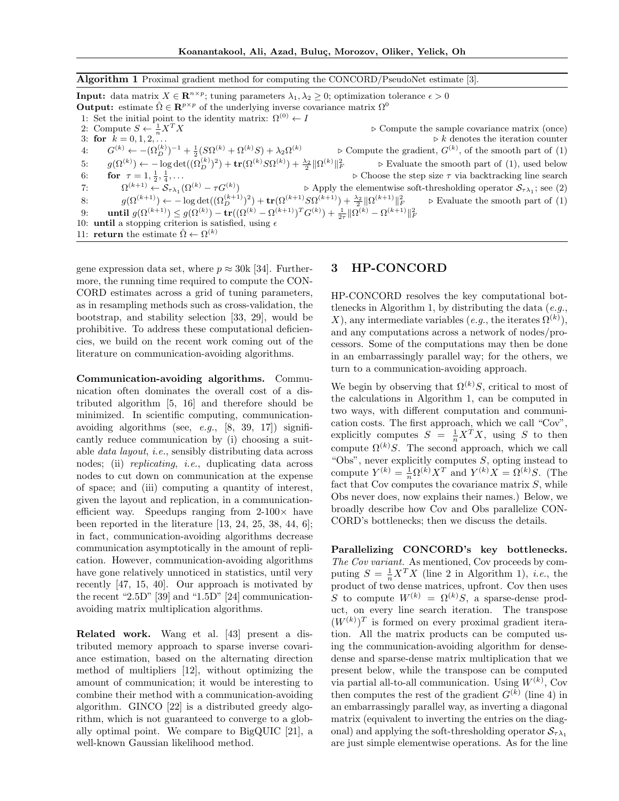<span id="page-2-1"></span>Algorithm 1 Proximal gradient method for computing the CONCORD/PseudoNet estimate [\[3\]](#page-8-0).

|    | <b>Input:</b> data matrix $X \in \mathbb{R}^{n \times p}$ ; tuning parameters $\lambda_1, \lambda_2 \geq 0$ ; optimization tolerance $\epsilon > 0$       |                                                                                                 |
|----|-----------------------------------------------------------------------------------------------------------------------------------------------------------|-------------------------------------------------------------------------------------------------|
|    | <b>Output:</b> estimate $\hat{\Omega} \in \mathbb{R}^{p \times p}$ of the underlying inverse covariance matrix $\Omega^0$                                 |                                                                                                 |
|    | 1: Set the initial point to the identity matrix: $\Omega^{(0)} \leftarrow I$                                                                              |                                                                                                 |
|    | 2: Compute $S \leftarrow \frac{1}{n} X^T X$                                                                                                               | $\triangleright$ Compute the sample covariance matrix (once)                                    |
|    | 3: for $k = 0, 1, 2, \ldots$                                                                                                                              | $\triangleright k$ denotes the iteration counter                                                |
| 4: | $G^{(k)} \leftarrow -(\Omega_D^{(k)})^{-1} + \frac{1}{2}(S\Omega^{(k)} + \Omega^{(k)}S) + \lambda_2\Omega^{(k)}$                                          | $\triangleright$ Compute the gradient, $G^{(k)}$ , of the smooth part of (1)                    |
| 5: | $g(\Omega^{(k)}) \leftarrow -\log \det((\Omega^{(k)}_D)^2) + \text{tr}(\Omega^{(k)} S \Omega^{(k)}) + \frac{\lambda_2}{2} \ \Omega^{(k)}\ _F^2$           | $\triangleright$ Evaluate the smooth part of (1), used below                                    |
| 6: | for $\tau = 1, \frac{1}{2}, \frac{1}{4}, \ldots$                                                                                                          | $\triangleright$ Choose the step size $\tau$ via backtracking line search                       |
| 7: | $\Omega^{(k+1)} \leftarrow \mathcal{S}_{\tau \lambda_1}(\Omega^{(k)} - \tau G^{(k)})$                                                                     | $\triangleright$ Apply the elementwise soft-thresholding operator $S_{\tau\lambda_1}$ ; see (2) |
| 8: | $q(\Omega^{(k+1)}) \leftarrow -\log \det((\Omega^{(k+1)}_D)^2) + \text{tr}(\Omega^{(k+1)} S \Omega^{(k+1)}) + \frac{\lambda_2}{2} \ \Omega^{(k+1)}\ _F^2$ | $\triangleright$ Evaluate the smooth part of (1)                                                |
| 9: | until $g(\Omega^{(k+1)}) \leq g(\Omega^{(k)}) - \text{tr}((\Omega^{(k)} - \Omega^{(k+1)})^T G^{(k)}) + \frac{1}{2}   \Omega^{(k)} - \Omega^{(k+1)}  _F^2$ |                                                                                                 |
|    | 10: <b>until</b> a stopping criterion is satisfied, using $\epsilon$                                                                                      |                                                                                                 |
|    | 11: <b>return</b> the estimate $\hat{\Omega} \leftarrow \Omega^{(k)}$                                                                                     |                                                                                                 |

gene expression data set, where  $p \approx 30k$  [\[34\]](#page-9-3). Furthermore, the running time required to compute the CON-CORD estimates across a grid of tuning parameters, as in resampling methods such as cross-validation, the bootstrap, and stability selection [\[33,](#page-9-11) [29\]](#page-9-12), would be prohibitive. To address these computational deficiencies, we build on the recent work coming out of the literature on communication-avoiding algorithms.

Communication-avoiding algorithms. Communication often dominates the overall cost of a distributed algorithm [\[5,](#page-8-8) [16\]](#page-8-9) and therefore should be minimized. In scientific computing, communicationavoiding algorithms (see,  $e.g., [8, 39, 17])$  $e.g., [8, 39, 17])$  $e.g., [8, 39, 17])$  $e.g., [8, 39, 17])$  $e.g., [8, 39, 17])$  significantly reduce communication by (i) choosing a suitable data layout, i.e., sensibly distributing data across nodes; (ii) *replicating*, *i.e.*, duplicating data across nodes to cut down on communication at the expense of space; and (iii) computing a quantity of interest, given the layout and replication, in a communicationefficient way. Speedups ranging from  $2-100\times$  have been reported in the literature [\[13,](#page-8-12) [24,](#page-9-14) [25,](#page-9-15) [38,](#page-9-16) [44,](#page-9-17) [6\]](#page-8-13); in fact, communication-avoiding algorithms decrease communication asymptotically in the amount of replication. However, communication-avoiding algorithms have gone relatively unnoticed in statistics, until very recently [\[47,](#page-10-4) [15,](#page-8-14) [40\]](#page-9-18). Our approach is motivated by the recent "2.5D" [\[39\]](#page-9-13) and "1.5D" [\[24\]](#page-9-14) communicationavoiding matrix multiplication algorithms.

Related work. Wang et al. [\[43\]](#page-9-19) present a distributed memory approach to sparse inverse covariance estimation, based on the alternating direction method of multipliers [\[12\]](#page-8-15), without optimizing the amount of communication; it would be interesting to combine their method with a communication-avoiding algorithm. GINCO [\[22\]](#page-9-9) is a distributed greedy algorithm, which is not guaranteed to converge to a globally optimal point. We compare to BigQUIC [\[21\]](#page-8-6), a well-known Gaussian likelihood method.

### <span id="page-2-0"></span>3 HP-CONCORD

HP-CONCORD resolves the key computational bot-tlenecks in Algorithm [1,](#page-2-1) by distributing the data (e.g., X), any intermediate variables (e.g., the iterates  $\Omega^{(k)}$ ), and any computations across a network of nodes/processors. Some of the computations may then be done in an embarrassingly parallel way; for the others, we turn to a communication-avoiding approach.

We begin by observing that  $\Omega^{(k)}S$ , critical to most of the calculations in Algorithm [1,](#page-2-1) can be computed in two ways, with different computation and communication costs. The first approach, which we call "Cov", explicitly computes  $S = \frac{1}{n}X^TX$ , using S to then compute  $\Omega^{(k)}S$ . The second approach, which we call "Obs", never explicitly computes  $S$ , opting instead to compute  $Y^{(k)} = \frac{1}{n} \Omega^{(k)} X^T$  and  $Y^{(k)} X = \Omega^{(k)} S$ . (The fact that Cov computes the covariance matrix  $S$ , while Obs never does, now explains their names.) Below, we broadly describe how Cov and Obs parallelize CON-CORD's bottlenecks; then we discuss the details.

Parallelizing CONCORD's key bottlenecks. The Cov variant. As mentioned, Cov proceeds by computing  $S = \frac{1}{n}X^T X$  (line 2 in Algorithm [1\)](#page-2-1), *i.e.*, the product of two dense matrices, upfront. Cov then uses S to compute  $W^{(k)} = \Omega^{(k)}S$ , a sparse-dense product, on every line search iteration. The transpose  $(W^{(k)})^T$  is formed on every proximal gradient iteration. All the matrix products can be computed using the communication-avoiding algorithm for densedense and sparse-dense matrix multiplication that we present below, while the transpose can be computed via partial all-to-all communication. Using  $W^{(k)}$ , Cov then computes the rest of the gradient  $G^{(k)}$  (line 4) in an embarrassingly parallel way, as inverting a diagonal matrix (equivalent to inverting the entries on the diagonal) and applying the soft-thresholding operator  $S_{\tau\lambda_1}$ are just simple elementwise operations. As for the line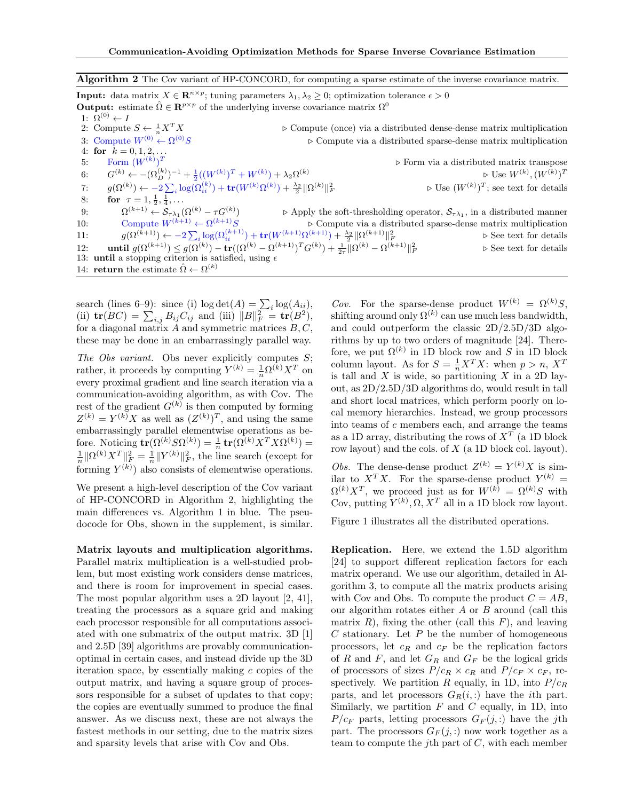#### <span id="page-3-0"></span>Algorithm 2 The Cov variant of HP-CONCORD, for computing a sparse estimate of the inverse covariance matrix.

**Input:** data matrix  $X \in \mathbb{R}^{n \times p}$ ; tuning parameters  $\lambda_1, \lambda_2 \geq 0$ ; optimization tolerance  $\epsilon > 0$ **Output:** estimate  $\hat{\Omega} \in \mathbb{R}^{p \times p}$  of the underlying inverse covariance matrix  $\Omega^0$ 1:  $\Omega^{(0)} \leftarrow I$ 2: Compute  $S \leftarrow \frac{1}{n}X$  $\triangleright$  Compute (once) via a distributed dense-dense matrix multiplication 3: Compute  $W^{(0)} \leftarrow \Omega^{(0)}S$  $\triangleright$  Compute via a distributed sparse-dense matrix multiplication 4: for  $k = 0, 1, 2, ...$ 5: Form  $(W^{(k)})^T$ . Form via a distributed matrix transpose 6:  $G^{(k)} \leftarrow -(\Omega_D^{(k)})^{-1} + \frac{1}{2}((W^{(k)})^T + W^{(k)}) + \lambda_2 \Omega^{(k)}$  $\triangleright$  Use  $W^{(k)}, (W^{(k)})^T$ 7:  $g(\Omega^{(k)}) \leftarrow -2 \sum_i \log(\Omega^{(k)}_{ii}) + \textbf{tr}(W^{(k)} \Omega^{(k)}) + \frac{\lambda_2}{2} \|\Omega^{(k)}\|_F^2$  $\mathbb{P}_F$   $\qquad \qquad \triangleright$  Use  $(W^{(k)})^T$ ; see text for details 8: **for**  $\tau = 1, \frac{1}{2}, \frac{1}{4}, \dots$ 9:  $\Omega^{(k+1)} \leftarrow \mathcal{S}_{\tau \lambda_1}(\Omega^{(k)} - \tau G^{(k)})$  $\triangleright$  Apply the soft-thresholding operator,  $S_{\tau\lambda_1}$ , in a distributed manner 10: Compute  $W^{(k+1)} \leftarrow \Omega^{(k+1)}S$  $\triangleright$  Compute via a distributed sparse-dense matrix multiplication 11:  $g(\Omega^{(k+1)}) \leftarrow -2\sum_i \log(\Omega^{(k+1)}_{ii}) + \text{tr}(W^{(k+1)}\Omega^{(k+1)}) + \frac{\lambda_2}{2} \|\Omega^{(k+1)}\|_F^2$  $\triangleright$  See text for details 12: **until**  $g(\Omega^{(k+1)}) \leq g(\Omega^{(k)}) - \text{tr}((\Omega^{(k)} - \Omega^{(k+1)})^T G^{(k)}) + \frac{1}{2\tau} \|\Omega^{(k)} - \Omega^{(k+1)}\|_F^2$  $\triangleright$  See text for details 13: **until** a stopping criterion is satisfied, using  $\epsilon$ 14: return the estimate  $\hat{\Omega} \leftarrow \Omega^{(k)}$ 

search (lines 6–9): since (i)  $\log \det(A) = \sum_i \log(A_{ii}),$ (ii)  $\text{tr}(BC) = \sum_{i,j} B_{ij} C_{ij}$  and (iii)  $||B||_F^2 = \text{tr}(B^2)$ , for a diagonal matrix  $A$  and symmetric matrices  $B, C$ , these may be done in an embarrassingly parallel way.

The Obs variant. Obs never explicitly computes  $S$ ; rather, it proceeds by computing  $Y^{(k)} = \frac{1}{n} \Omega^{(k)} X^T$  on every proximal gradient and line search iteration via a communication-avoiding algorithm, as with Cov. The rest of the gradient  $G^{(k)}$  is then computed by forming  $Z^{(k)} = Y^{(k)}X$  as well as  $(Z^{(k)})^T$ , and using the same embarrassingly parallel elementwise operations as before. Noticing  $tr(\Omega^{(k)} S \Omega^{(k)}) = \frac{1}{n} tr(\Omega^{(k)} X^T X \Omega^{(k)}) =$  $\frac{1}{n} \|\Omega^{(k)} X^T\|_F^2 = \frac{1}{n} \|Y^{(k)}\|_F^2$ , the line search (except for forming  $Y^{(k)}$  also consists of elementwise operations.

We present a high-level description of the Cov variant of HP-CONCORD in Algorithm [2,](#page-3-0) highlighting the main differences vs. Algorithm [1](#page-2-1) in blue. The pseudocode for Obs, shown in the supplement, is similar.

Matrix layouts and multiplication algorithms. Parallel matrix multiplication is a well-studied problem, but most existing work considers dense matrices, and there is room for improvement in special cases. The most popular algorithm uses a 2D layout [\[2,](#page-8-16) [41\]](#page-9-20), treating the processors as a square grid and making each processor responsible for all computations associated with one submatrix of the output matrix. 3D [\[1\]](#page-8-17) and 2.5D [\[39\]](#page-9-13) algorithms are provably communicationoptimal in certain cases, and instead divide up the 3D iteration space, by essentially making  $c$  copies of the output matrix, and having a square group of processors responsible for a subset of updates to that copy; the copies are eventually summed to produce the final answer. As we discuss next, these are not always the fastest methods in our setting, due to the matrix sizes and sparsity levels that arise with Cov and Obs.

Cov. For the sparse-dense product  $W^{(k)} = \Omega^{(k)}S$ , shifting around only  $\Omega^{(k)}$  can use much less bandwidth, and could outperform the classic 2D/2.5D/3D algorithms by up to two orders of magnitude [\[24\]](#page-9-14). Therefore, we put  $\Omega^{(k)}$  in 1D block row and S in 1D block column layout. As for  $S = \frac{1}{n}X^T X$ : when  $p > n$ ,  $X^T$ is tall and  $X$  is wide, so partitioning  $X$  in a 2D layout, as 2D/2.5D/3D algorithms do, would result in tall and short local matrices, which perform poorly on local memory hierarchies. Instead, we group processors into teams of c members each, and arrange the teams as a 1D array, distributing the rows of  $X<sup>T</sup>$  (a 1D block row layout) and the cols. of X (a 1D block col. layout). *Obs.* The dense-dense product  $Z^{(k)} = Y^{(k)}X$  is sim-

ilar to  $X^T X$ . For the sparse-dense product  $Y^{(k)} =$  $\Omega^{(k)}X^T$ , we proceed just as for  $W^{(k)} = \Omega^{(k)}S$  with Cov, putting  $Y^{(k)}$ ,  $\Omega$ ,  $X^T$  all in a 1D block row layout.

Figure [1](#page-4-1) illustrates all the distributed operations.

Replication. Here, we extend the 1.5D algorithm [\[24\]](#page-9-14) to support different replication factors for each matrix operand. We use our algorithm, detailed in Algorithm [3,](#page-4-2) to compute all the matrix products arising with Cov and Obs. To compute the product  $C = AB$ , our algorithm rotates either  $A$  or  $B$  around (call this matrix  $R$ ), fixing the other (call this  $F$ ), and leaving  $C$  stationary. Let  $P$  be the number of homogeneous processors, let  $c_R$  and  $c_F$  be the replication factors of R and F, and let  $G_R$  and  $G_F$  be the logical grids of processors of sizes  $P/c_R \times c_R$  and  $P/c_F \times c_F$ , respectively. We partition R equally, in 1D, into  $P/c_R$ parts, and let processors  $G_R(i,:)$  have the *i*th part. Similarly, we partition  $F$  and  $C$  equally, in 1D, into  $P/c_F$  parts, letting processors  $G_F(j,:)$  have the jth part. The processors  $G_F(i,:)$  now work together as a team to compute the j<sup>th</sup> part of  $C$ , with each member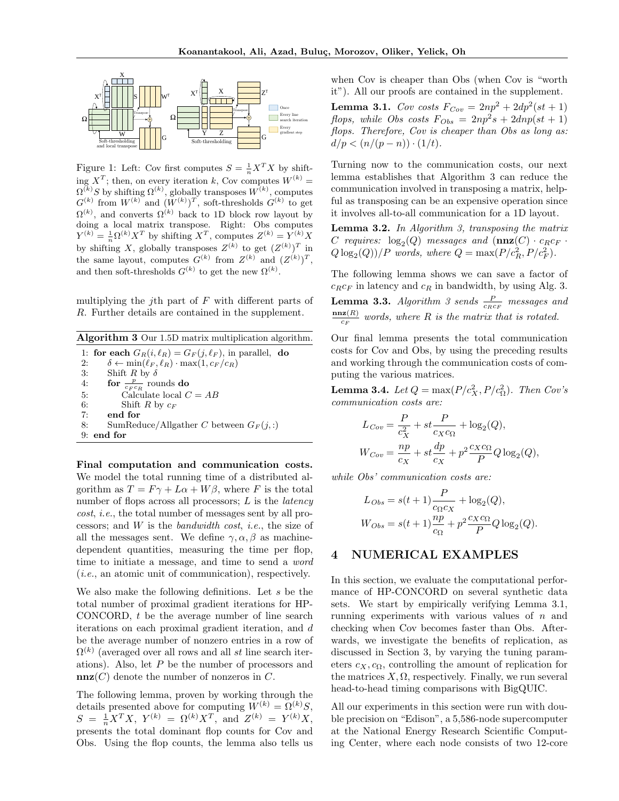<span id="page-4-1"></span>

Figure 1: Left: Cov first computes  $S = \frac{1}{n}X^T X$  by shifting  $X^T$ ; then, on every iteration k, Cov computes  $W^{(k)}$  =  $\Omega^{(k)}$ S by shifting  $\Omega^{(k)}$ , globally transposes  $W^{(k)}$ , computes  $G^{(k)}$  from  $W^{(k)}$  and  $(W^{(k)})^T$ , soft-thresholds  $G^{(k)}$  to get  $\Omega^{(k)}$ , and converts  $\Omega^{(k)}$  back to 1D block row layout by doing a local matrix transpose. Right: Obs computes  $Y^{(k)} = \frac{1}{n} \Omega^{(k)} X^T$  by shifting  $X^T$ , computes  $Z^{(k)} = Y^{(k)} X$ by shifting X, globally transposes  $Z^{(k)}$  to get  $(Z^{(k)})^T$  in the same layout, computes  $G^{(k)}$  from  $Z^{(k)}$  and  $(Z^{(k)})^T$ , and then soft-thresholds  $G^{(k)}$  to get the new  $\Omega^{(k)}$ .

multiplying the j<sup>th</sup> part of  $F$  with different parts of R. Further details are contained in the supplement.

<span id="page-4-2"></span>Algorithm 3 Our 1.5D matrix multiplication algorithm.

1: for each  $G_R(i, \ell_R) = G_F(j, \ell_F)$ , in parallel, do 2:  $\delta \leftarrow \min(\ell_F, \ell_R) \cdot \max(1, c_F / c_R)$ 3: Shift R by  $\delta$ 4: for  $\frac{p}{c_F c_R}$  rounds do 5: Calculate local  $C = AB$ 6: Shift R by  $c_F$ 7: end for 8: SumReduce/Allgather C between  $G_F(i,.)$ 9: end for

Final computation and communication costs. We model the total running time of a distributed algorithm as  $T = F\gamma + L\alpha + W\beta$ , where F is the total number of flops across all processors;  $L$  is the *latency* cost, i.e., the total number of messages sent by all processors; and  $W$  is the *bandwidth* cost, *i.e.*, the size of all the messages sent. We define  $\gamma, \alpha, \beta$  as machinedependent quantities, measuring the time per flop, time to initiate a message, and time to send a word (i.e., an atomic unit of communication), respectively.

We also make the following definitions. Let s be the total number of proximal gradient iterations for HP-CONCORD,  $t$  be the average number of line search iterations on each proximal gradient iteration, and d be the average number of nonzero entries in a row of  $\Omega^{(k)}$  (averaged over all rows and all st line search iterations). Also, let P be the number of processors and  $\mathbf{nnz}(C)$  denote the number of nonzeros in C.

The following lemma, proven by working through the details presented above for computing  $W^{(k)} = \Omega^{(k)}S$ ,  $S = \frac{1}{n} X^T X$ ,  $Y^{(k)} = \Omega^{(k)} X^T$ , and  $Z^{(k)} = Y^{(k)} X$ , presents the total dominant flop counts for Cov and Obs. Using the flop counts, the lemma also tells us

when Cov is cheaper than Obs (when Cov is "worth it"). All our proofs are contained in the supplement.

<span id="page-4-3"></span>**Lemma 3.1.** Cov costs  $F_{Cov} = 2np^2 + 2dp^2(st + 1)$ flops, while Obs costs  $F_{Obs} = 2np^2s + 2dnp(st + 1)$ flops. Therefore, Cov is cheaper than Obs as long as:  $d/p < (n/(p-n)) \cdot (1/t)$ .

Turning now to the communication costs, our next lemma establishes that Algorithm [3](#page-4-2) can reduce the communication involved in transposing a matrix, helpful as transposing can be an expensive operation since it involves all-to-all communication for a 1D layout.

**Lemma 3.2.** In Algorithm [3,](#page-4-2) transposing the matrix C requires:  $log_2(Q)$  messages and  $(\mathbf{nnz}(C) \cdot c_R c_F \cdot$  $Q \log_2(Q)$  / P words, where  $Q = \max(P/c_R^2, P/c_F^2)$ .

The following lemma shows we can save a factor of  $c_Rc_F$  in latency and  $c_R$  in bandwidth, by using Alg. [3.](#page-4-2)

**Lemma [3](#page-4-2).3.** Algorithm 3 sends  $\frac{P}{c_{R}c_{F}}$  messages and  $\mathbf{nnz}(R)$  $\frac{d\mathbf{z}(R)}{c_F}$  words, where R is the matrix that is rotated.

Our final lemma presents the total communication costs for Cov and Obs, by using the preceding results and working through the communication costs of computing the various matrices.

**Lemma 3.4.** Let  $Q = \max(P/c_X^2, P/c_\Omega^2)$ . Then Cov's communication costs are:

$$
L_{Cov} = \frac{P}{c_X^2} + st \frac{P}{c_X c_{\Omega}} + \log_2(Q),
$$
  

$$
W_{Cov} = \frac{np}{c_X} + st \frac{dp}{c_X} + p^2 \frac{c_X c_{\Omega}}{P} Q \log_2(Q),
$$

while Obs' communication costs are:

$$
L_{Obs} = s(t+1)\frac{P}{c_{\Omega}c_X} + \log_2(Q),
$$
  
\n
$$
W_{Obs} = s(t+1)\frac{np}{c_{\Omega}} + p^2 \frac{c_X c_{\Omega}}{P}Q \log_2(Q).
$$

# <span id="page-4-0"></span>4 NUMERICAL EXAMPLES

In this section, we evaluate the computational performance of HP-CONCORD on several synthetic data sets. We start by empirically verifying Lemma [3.1,](#page-4-3) running experiments with various values of  $n$  and checking when Cov becomes faster than Obs. Afterwards, we investigate the benefits of replication, as discussed in Section [3,](#page-2-0) by varying the tuning parameters  $c_X, c_\Omega$ , controlling the amount of replication for the matrices  $X, \Omega$ , respectively. Finally, we run several head-to-head timing comparisons with BigQUIC.

All our experiments in this section were run with double precision on "Edison", a 5,586-node supercomputer at the National Energy Research Scientific Computing Center, where each node consists of two 12-core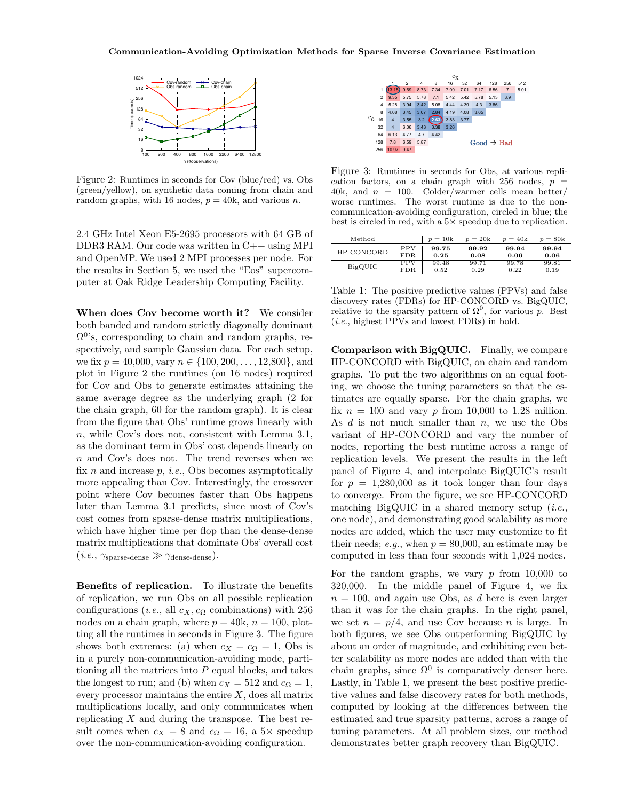<span id="page-5-0"></span>

Figure 2: Runtimes in seconds for Cov (blue/red) vs. Obs (green/yellow), on synthetic data coming from chain and random graphs, with 16 nodes,  $p = 40k$ , and various n.

2.4 GHz Intel Xeon E5-2695 processors with 64 GB of DDR3 RAM. Our code was written in C++ using MPI and OpenMP. We used 2 MPI processes per node. For the results in Section [5,](#page-6-0) we used the "Eos" supercomputer at Oak Ridge Leadership Computing Facility.

When does Cov become worth it? We consider both banded and random strictly diagonally dominant  $\Omega^{0}$ 's, corresponding to chain and random graphs, respectively, and sample Gaussian data. For each setup, we fix  $p = 40,000$ , vary  $n \in \{100, 200, \ldots, 12,800\}$ , and plot in Figure [2](#page-5-0) the runtimes (on 16 nodes) required for Cov and Obs to generate estimates attaining the same average degree as the underlying graph (2 for the chain graph, 60 for the random graph). It is clear from the figure that Obs' runtime grows linearly with n, while Cov's does not, consistent with Lemma [3.1,](#page-4-3) as the dominant term in Obs' cost depends linearly on n and Cov's does not. The trend reverses when we fix  $n$  and increase  $p$ , *i.e.*, Obs becomes asymptotically more appealing than Cov. Interestingly, the crossover point where Cov becomes faster than Obs happens later than Lemma [3.1](#page-4-3) predicts, since most of Cov's cost comes from sparse-dense matrix multiplications, which have higher time per flop than the dense-dense matrix multiplications that dominate Obs' overall cost  $(i.e., \gamma_{\text{sparse-dense}} \gg \gamma_{\text{dense-dense}}).$ 

Benefits of replication. To illustrate the benefits of replication, we run Obs on all possible replication configurations (*i.e.*, all  $c_X, c_\Omega$  combinations) with 256 nodes on a chain graph, where  $p = 40k$ ,  $n = 100$ , plotting all the runtimes in seconds in Figure [3.](#page-5-1) The figure shows both extremes: (a) when  $c_X = c_\Omega = 1$ , Obs is in a purely non-communication-avoiding mode, partitioning all the matrices into  $P$  equal blocks, and takes the longest to run; and (b) when  $c_X = 512$  and  $c_\Omega = 1$ , every processor maintains the entire  $X$ , does all matrix multiplications locally, and only communicates when replicating  $X$  and during the transpose. The best result comes when  $c_X = 8$  and  $c_\Omega = 16$ , a 5× speedup over the non-communication-avoiding configuration.

<span id="page-5-1"></span>

Total running time (seconds). Chain graph (3 nnz/row),

Figure 3: Runtimes in seconds for Obs, at various replication factors, on a chain graph with 256 nodes,  $p =$ 40k, and  $n = 100$ . Colder/warmer cells mean better/ worse runtimes. The worst runtime is due to the noncommunication-avoiding configuration, circled in blue; the best is circled in red, with a  $5\times$  speedup due to replication.

<span id="page-5-2"></span>

| Method     |            | $p=10k$ | $p=20k$ | $p = 40k$ | $p = 80k$ |
|------------|------------|---------|---------|-----------|-----------|
| HP-CONCORD | <b>PPV</b> | 99.75   | 99.92   | 99.94     | 99.94     |
|            | FDR.       | 0.25    | 0.08    | 0.06      | 0.06      |
| BigQUIC    | <b>PPV</b> | 99.48   | 99.71   | 99.78     | 99.81     |
|            | FDR        | 0.52    | 0.29    | 0.22      | 0.19      |
|            |            |         |         |           |           |

Table 1: The positive predictive values (PPVs) and false discovery rates (FDRs) for HP-CONCORD vs. BigQUIC, relative to the sparsity pattern of  $\Omega^0$ , for various p. Best (i.e., highest PPVs and lowest FDRs) in bold.

Comparison with BigQUIC. Finally, we compare HP-CONCORD with BigQUIC, on chain and random graphs. To put the two algorithms on an equal footing, we choose the tuning parameters so that the estimates are equally sparse. For the chain graphs, we fix  $n = 100$  and vary p from 10,000 to 1.28 million. As  $d$  is not much smaller than  $n$ , we use the Obs variant of HP-CONCORD and vary the number of nodes, reporting the best runtime across a range of replication levels. We present the results in the left panel of Figure [4,](#page-6-1) and interpolate BigQUIC's result for  $p = 1,280,000$  as it took longer than four days to converge. From the figure, we see HP-CONCORD matching BigQUIC in a shared memory setup  $(i.e.,$ one node), and demonstrating good scalability as more nodes are added, which the user may customize to fit their needs; e.g., when  $p = 80,000$ , an estimate may be computed in less than four seconds with 1,024 nodes.

For the random graphs, we vary  $p$  from 10,000 to 320,000. In the middle panel of Figure [4,](#page-6-1) we fix  $n = 100$ , and again use Obs, as d here is even larger than it was for the chain graphs. In the right panel, we set  $n = p/4$ , and use Cov because n is large. In both figures, we see Obs outperforming BigQUIC by about an order of magnitude, and exhibiting even better scalability as more nodes are added than with the chain graphs, since  $\Omega^0$  is comparatively denser here. Lastly, in Table [1,](#page-5-2) we present the best positive predictive values and false discovery rates for both methods, computed by looking at the differences between the estimated and true sparsity patterns, across a range of tuning parameters. At all problem sizes, our method demonstrates better graph recovery than BigQUIC.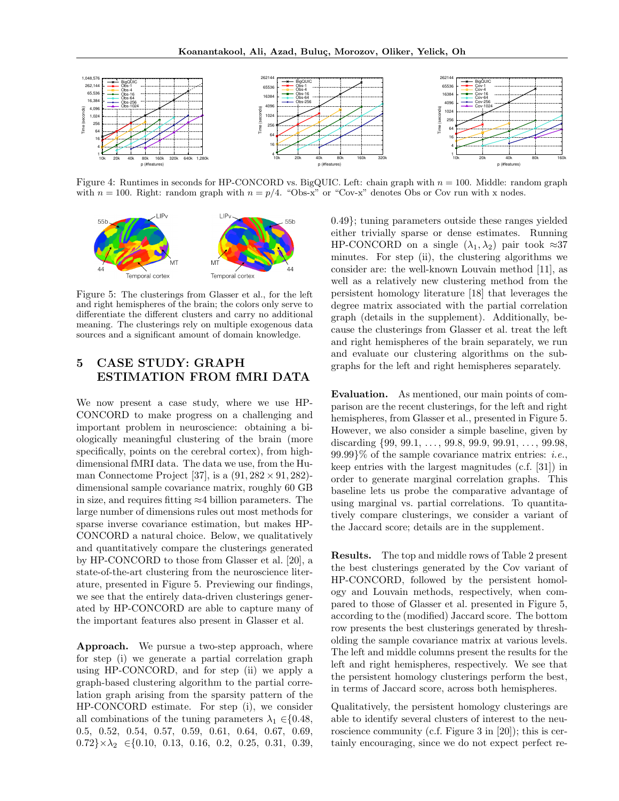<span id="page-6-1"></span>

Figure 4: Runtimes in seconds for HP-CONCORD vs. BigQUIC. Left: chain graph with n = 100. Middle: random graph with  $n = 100$ . Right: random graph with  $n = p/4$ . "Obs-x" or "Cov-x" denotes Obs or Cov run with x nodes.

<span id="page-6-2"></span>

Figure 5: The clusterings from Glasser et al., for the left and right hemispheres of the brain; the colors only serve to differentiate the different clusters and carry no additional meaning. The clusterings rely on multiple exogenous data sources and a significant amount of domain knowledge.

# <span id="page-6-0"></span>5 CASE STUDY: GRAPH ESTIMATION FROM fMRI DATA

We now present a case study, where we use HP-CONCORD to make progress on a challenging and important problem in neuroscience: obtaining a biologically meaningful clustering of the brain (more specifically, points on the cerebral cortex), from highdimensional fMRI data. The data we use, from the Hu-man Connectome Project [\[37\]](#page-9-21), is a  $(91, 282 \times 91, 282)$ dimensional sample covariance matrix, roughly 60 GB in size, and requires fitting ≈4 billion parameters. The large number of dimensions rules out most methods for sparse inverse covariance estimation, but makes HP-CONCORD a natural choice. Below, we qualitatively and quantitatively compare the clusterings generated by HP-CONCORD to those from Glasser et al. [\[20\]](#page-8-18), a state-of-the-art clustering from the neuroscience literature, presented in Figure [5.](#page-6-2) Previewing our findings, we see that the entirely data-driven clusterings generated by HP-CONCORD are able to capture many of the important features also present in Glasser et al.

Approach. We pursue a two-step approach, where for step (i) we generate a partial correlation graph using HP-CONCORD, and for step (ii) we apply a graph-based clustering algorithm to the partial correlation graph arising from the sparsity pattern of the HP-CONCORD estimate. For step (i), we consider all combinations of the tuning parameters  $\lambda_1 \in \{0.48,$ 0.5, 0.52, 0.54, 0.57, 0.59, 0.61, 0.64, 0.67, 0.69,  $0.72\}\times\lambda_2 \in \{0.10, 0.13, 0.16, 0.2, 0.25, 0.31, 0.39,$ 

0.49}; tuning parameters outside these ranges yielded either trivially sparse or dense estimates. Running HP-CONCORD on a single  $(\lambda_1, \lambda_2)$  pair took  $\approx 37$ minutes. For step (ii), the clustering algorithms we consider are: the well-known Louvain method [\[11\]](#page-8-19), as well as a relatively new clustering method from the persistent homology literature [\[18\]](#page-8-20) that leverages the degree matrix associated with the partial correlation graph (details in the supplement). Additionally, because the clusterings from Glasser et al. treat the left and right hemispheres of the brain separately, we run and evaluate our clustering algorithms on the subgraphs for the left and right hemispheres separately.

Evaluation. As mentioned, our main points of comparison are the recent clusterings, for the left and right hemispheres, from Glasser et al., presented in Figure [5.](#page-6-2) However, we also consider a simple baseline, given by discarding  $\{99, 99.1, \ldots, 99.8, 99.9, 99.91, \ldots, 99.98, \ldots\}$  $99.99\%$  of the sample covariance matrix entries: *i.e.*, keep entries with the largest magnitudes (c.f. [\[31\]](#page-9-22)) in order to generate marginal correlation graphs. This baseline lets us probe the comparative advantage of using marginal vs. partial correlations. To quantitatively compare clusterings, we consider a variant of the Jaccard score; details are in the supplement.

Results. The top and middle rows of Table [2](#page-7-1) present the best clusterings generated by the Cov variant of HP-CONCORD, followed by the persistent homology and Louvain methods, respectively, when compared to those of Glasser et al. presented in Figure [5,](#page-6-2) according to the (modified) Jaccard score. The bottom row presents the best clusterings generated by thresholding the sample covariance matrix at various levels. The left and middle columns present the results for the left and right hemispheres, respectively. We see that the persistent homology clusterings perform the best, in terms of Jaccard score, across both hemispheres.

Qualitatively, the persistent homology clusterings are able to identify several clusters of interest to the neu-roscience community (c.f. Figure 3 in [\[20\]](#page-8-18)); this is certainly encouraging, since we do not expect perfect re-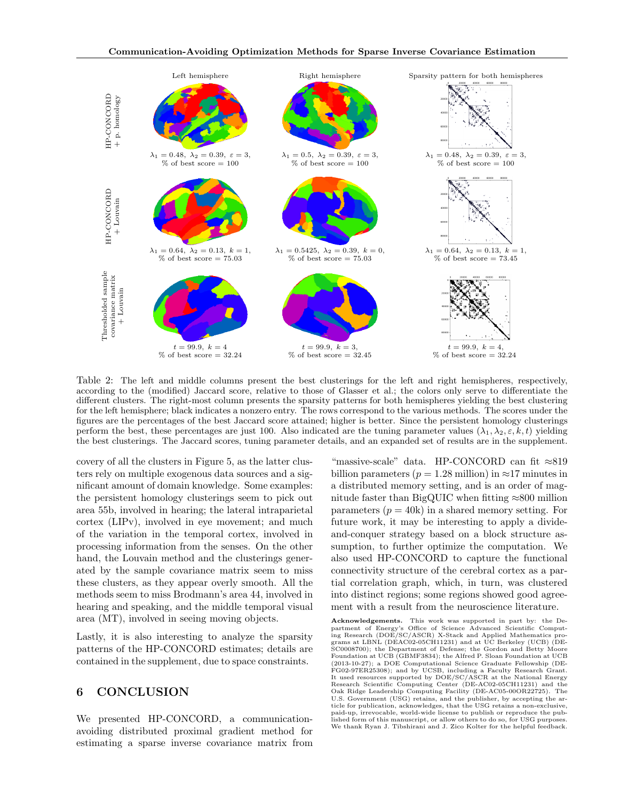<span id="page-7-1"></span>

Table 2: The left and middle columns present the best clusterings for the left and right hemispheres, respectively, according to the (modified) Jaccard score, relative to those of Glasser et al.; the colors only serve to differentiate the different clusters. The right-most column presents the sparsity patterns for both hemispheres yielding the best clustering for the left hemisphere; black indicates a nonzero entry. The rows correspond to the various methods. The scores under the figures are the percentages of the best Jaccard score attained; higher is better. Since the persistent homology clusterings perform the best, these percentages are just 100. Also indicated are the tuning parameter values  $(\lambda_1, \lambda_2, \varepsilon, k, t)$  yielding the best clusterings. The Jaccard scores, tuning parameter details, and an expanded set of results are in the supplement.

covery of all the clusters in Figure [5,](#page-6-2) as the latter clusters rely on multiple exogenous data sources and a significant amount of domain knowledge. Some examples: the persistent homology clusterings seem to pick out area 55b, involved in hearing; the lateral intraparietal cortex (LIPv), involved in eye movement; and much of the variation in the temporal cortex, involved in processing information from the senses. On the other hand, the Louvain method and the clusterings generated by the sample covariance matrix seem to miss these clusters, as they appear overly smooth. All the methods seem to miss Brodmann's area 44, involved in hearing and speaking, and the middle temporal visual area (MT), involved in seeing moving objects.

Lastly, it is also interesting to analyze the sparsity patterns of the HP-CONCORD estimates; details are contained in the supplement, due to space constraints.

# <span id="page-7-0"></span>6 CONCLUSION

We presented HP-CONCORD, a communicationavoiding distributed proximal gradient method for estimating a sparse inverse covariance matrix from

"massive-scale" data. HP-CONCORD can fit ≈819 billion parameters ( $p = 1.28$  million) in ≈17 minutes in a distributed memory setting, and is an order of magnitude faster than BigQUIC when fitting  $\approx 800$  million parameters  $(p = 40k)$  in a shared memory setting. For future work, it may be interesting to apply a divideand-conquer strategy based on a block structure assumption, to further optimize the computation. We also used HP-CONCORD to capture the functional connectivity structure of the cerebral cortex as a partial correlation graph, which, in turn, was clustered into distinct regions; some regions showed good agreement with a result from the neuroscience literature.

Acknowledgements. This work was supported in part by: the Department of Energy's Office of Science Advanced Scientific Computing Research (DOE/SC/ASCR) X-Stack and Applied Mathematics pro-grams at LBNL (DEAC02-05CH11231) and at UC Berkeley (UCB) (DE-SC0008700); the Department of Defense; the Gordon and Betty Moore Foundation at UCB (GBMF3834); the Alfred P. Sloan Foundation at UCB (2013-10-27); a DOE Computational Science Graduate Fellowship (DE-FG02-97ER25308); and by UCSB, including a Faculty Research Grant. It used resources supported by DOE/SC/ASCR at the National Energy Research Scientific Computing Center (DE-AC02-05CH11231) and the Oak Ridge Leadership Computing Facility (DE-AC05-00OR22725). The U.S. Government (USG) retains, and the publisher, by accepting the article for publication, acknowledges, that the USG retains a non-exclusive, paid-up, irrevocable, world-wide license to publish or reproduce the published form of this manuscript, or allow others to do so, for USG purposes. We thank Ryan J. Tibshirani and J. Zico Kolter for the helpful feedback.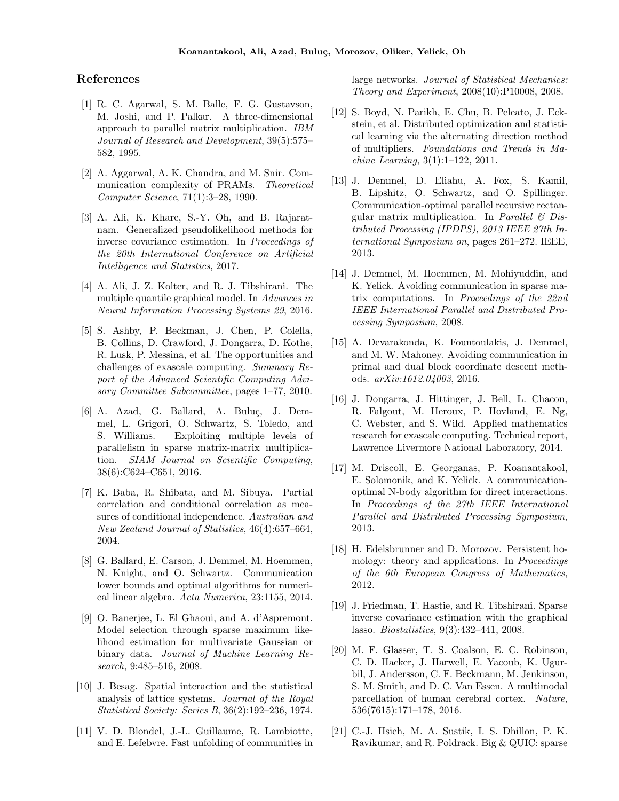# References

- <span id="page-8-17"></span>[1] R. C. Agarwal, S. M. Balle, F. G. Gustavson, M. Joshi, and P. Palkar. A three-dimensional approach to parallel matrix multiplication. IBM Journal of Research and Development, 39(5):575– 582, 1995.
- <span id="page-8-16"></span>[2] A. Aggarwal, A. K. Chandra, and M. Snir. Communication complexity of PRAMs. Theoretical Computer Science, 71(1):3–28, 1990.
- <span id="page-8-0"></span>[3] A. Ali, K. Khare, S.-Y. Oh, and B. Rajaratnam. Generalized pseudolikelihood methods for inverse covariance estimation. In Proceedings of the 20th International Conference on Artificial Intelligence and Statistics, 2017.
- <span id="page-8-2"></span>[4] A. Ali, J. Z. Kolter, and R. J. Tibshirani. The multiple quantile graphical model. In Advances in Neural Information Processing Systems 29, 2016.
- <span id="page-8-8"></span>[5] S. Ashby, P. Beckman, J. Chen, P. Colella, B. Collins, D. Crawford, J. Dongarra, D. Kothe, R. Lusk, P. Messina, et al. The opportunities and challenges of exascale computing. Summary Report of the Advanced Scientific Computing Advisory Committee Subcommittee, pages 1–77, 2010.
- <span id="page-8-13"></span>[6] A. Azad, G. Ballard, A. Buluç, J. Demmel, L. Grigori, O. Schwartz, S. Toledo, and S. Williams. Exploiting multiple levels of parallelism in sparse matrix-matrix multiplication. SIAM Journal on Scientific Computing, 38(6):C624–C651, 2016.
- <span id="page-8-3"></span>[7] K. Baba, R. Shibata, and M. Sibuya. Partial correlation and conditional correlation as measures of conditional independence. Australian and New Zealand Journal of Statistics, 46(4):657–664, 2004.
- <span id="page-8-10"></span>[8] G. Ballard, E. Carson, J. Demmel, M. Hoemmen, N. Knight, and O. Schwartz. Communication lower bounds and optimal algorithms for numerical linear algebra. Acta Numerica, 23:1155, 2014.
- <span id="page-8-4"></span>[9] O. Banerjee, L. El Ghaoui, and A. d'Aspremont. Model selection through sparse maximum likelihood estimation for multivariate Gaussian or binary data. Journal of Machine Learning Research, 9:485–516, 2008.
- <span id="page-8-7"></span>[10] J. Besag. Spatial interaction and the statistical analysis of lattice systems. Journal of the Royal Statistical Society: Series B, 36(2):192–236, 1974.
- <span id="page-8-19"></span>[11] V. D. Blondel, J.-L. Guillaume, R. Lambiotte, and E. Lefebvre. Fast unfolding of communities in

large networks. Journal of Statistical Mechanics: Theory and Experiment, 2008(10):P10008, 2008.

- <span id="page-8-15"></span>[12] S. Boyd, N. Parikh, E. Chu, B. Peleato, J. Eckstein, et al. Distributed optimization and statistical learning via the alternating direction method of multipliers. Foundations and Trends in Machine Learning, 3(1):1–122, 2011.
- <span id="page-8-12"></span>[13] J. Demmel, D. Eliahu, A. Fox, S. Kamil, B. Lipshitz, O. Schwartz, and O. Spillinger. Communication-optimal parallel recursive rectangular matrix multiplication. In Parallel  $\mathcal C$  Distributed Processing (IPDPS), 2013 IEEE 27th International Symposium on, pages 261–272. IEEE, 2013.
- <span id="page-8-5"></span>[14] J. Demmel, M. Hoemmen, M. Mohiyuddin, and K. Yelick. Avoiding communication in sparse matrix computations. In Proceedings of the 22nd IEEE International Parallel and Distributed Processing Symposium, 2008.
- <span id="page-8-14"></span>[15] A. Devarakonda, K. Fountoulakis, J. Demmel, and M. W. Mahoney. Avoiding communication in primal and dual block coordinate descent methods. arXiv:1612.04003, 2016.
- <span id="page-8-9"></span>[16] J. Dongarra, J. Hittinger, J. Bell, L. Chacon, R. Falgout, M. Heroux, P. Hovland, E. Ng, C. Webster, and S. Wild. Applied mathematics research for exascale computing. Technical report, Lawrence Livermore National Laboratory, 2014.
- <span id="page-8-11"></span>[17] M. Driscoll, E. Georganas, P. Koanantakool, E. Solomonik, and K. Yelick. A communicationoptimal N-body algorithm for direct interactions. In Proceedings of the 27th IEEE International Parallel and Distributed Processing Symposium, 2013.
- <span id="page-8-20"></span>[18] H. Edelsbrunner and D. Morozov. Persistent homology: theory and applications. In Proceedings of the 6th European Congress of Mathematics, 2012.
- <span id="page-8-1"></span>[19] J. Friedman, T. Hastie, and R. Tibshirani. Sparse inverse covariance estimation with the graphical lasso. Biostatistics, 9(3):432–441, 2008.
- <span id="page-8-18"></span>[20] M. F. Glasser, T. S. Coalson, E. C. Robinson, C. D. Hacker, J. Harwell, E. Yacoub, K. Ugurbil, J. Andersson, C. F. Beckmann, M. Jenkinson, S. M. Smith, and D. C. Van Essen. A multimodal parcellation of human cerebral cortex. Nature, 536(7615):171–178, 2016.
- <span id="page-8-6"></span>[21] C.-J. Hsieh, M. A. Sustik, I. S. Dhillon, P. K. Ravikumar, and R. Poldrack. Big & QUIC: sparse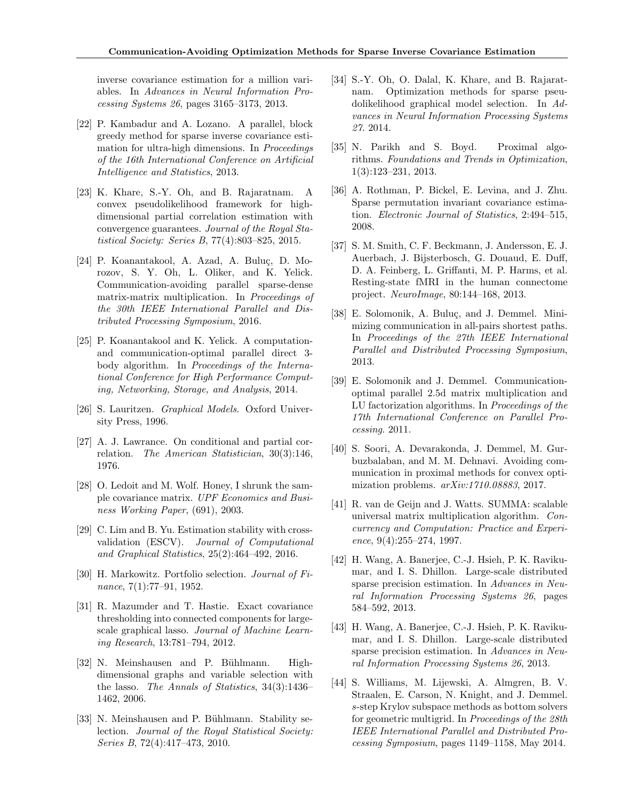inverse covariance estimation for a million variables. In Advances in Neural Information Processing Systems 26, pages 3165–3173, 2013.

- <span id="page-9-9"></span>[22] P. Kambadur and A. Lozano. A parallel, block greedy method for sparse inverse covariance estimation for ultra-high dimensions. In Proceedings of the 16th International Conference on Artificial Intelligence and Statistics, 2013.
- <span id="page-9-2"></span>[23] K. Khare, S.-Y. Oh, and B. Rajaratnam. A convex pseudolikelihood framework for highdimensional partial correlation estimation with convergence guarantees. Journal of the Royal Statistical Society: Series B, 77(4):803–825, 2015.
- <span id="page-9-14"></span> $[24]$  P. Koanantakool, A. Azad, A. Buluç, D. Morozov, S. Y. Oh, L. Oliker, and K. Yelick. Communication-avoiding parallel sparse-dense matrix-matrix multiplication. In Proceedings of the 30th IEEE International Parallel and Distributed Processing Symposium, 2016.
- <span id="page-9-15"></span>[25] P. Koanantakool and K. Yelick. A computationand communication-optimal parallel direct 3 body algorithm. In Proceedings of the International Conference for High Performance Computing, Networking, Storage, and Analysis, 2014.
- <span id="page-9-5"></span>[26] S. Lauritzen. Graphical Models. Oxford University Press, 1996.
- <span id="page-9-4"></span>[27] A. J. Lawrance. On conditional and partial correlation. The American Statistician, 30(3):146, 1976.
- <span id="page-9-1"></span>[28] O. Ledoit and M. Wolf. Honey, I shrunk the sample covariance matrix. UPF Economics and Business Working Paper, (691), 2003.
- <span id="page-9-12"></span>[29] C. Lim and B. Yu. Estimation stability with crossvalidation (ESCV). Journal of Computational and Graphical Statistics, 25(2):464–492, 2016.
- <span id="page-9-0"></span>[30] H. Markowitz. Portfolio selection. Journal of Finance, 7(1):77–91, 1952.
- <span id="page-9-22"></span>[31] R. Mazumder and T. Hastie. Exact covariance thresholding into connected components for largescale graphical lasso. Journal of Machine Learning Research, 13:781–794, 2012.
- <span id="page-9-6"></span>[32] N. Meinshausen and P. Bühlmann. Highdimensional graphs and variable selection with the lasso. The Annals of Statistics, 34(3):1436– 1462, 2006.
- <span id="page-9-11"></span>[33] N. Meinshausen and P. Bühlmann. Stability selection. Journal of the Royal Statistical Society: Series B, 72(4):417–473, 2010.
- <span id="page-9-3"></span>[34] S.-Y. Oh, O. Dalal, K. Khare, and B. Rajaratnam. Optimization methods for sparse pseudolikelihood graphical model selection. In Advances in Neural Information Processing Systems 27. 2014.
- <span id="page-9-10"></span>[35] N. Parikh and S. Boyd. Proximal algorithms. Foundations and Trends in Optimization, 1(3):123–231, 2013.
- <span id="page-9-7"></span>[36] A. Rothman, P. Bickel, E. Levina, and J. Zhu. Sparse permutation invariant covariance estimation. Electronic Journal of Statistics, 2:494–515, 2008.
- <span id="page-9-21"></span>[37] S. M. Smith, C. F. Beckmann, J. Andersson, E. J. Auerbach, J. Bijsterbosch, G. Douaud, E. Duff, D. A. Feinberg, L. Griffanti, M. P. Harms, et al. Resting-state fMRI in the human connectome project. NeuroImage, 80:144–168, 2013.
- <span id="page-9-16"></span>[38] E. Solomonik, A. Buluç, and J. Demmel. Minimizing communication in all-pairs shortest paths. In Proceedings of the 27th IEEE International Parallel and Distributed Processing Symposium, 2013.
- <span id="page-9-13"></span>[39] E. Solomonik and J. Demmel. Communicationoptimal parallel 2.5d matrix multiplication and LU factorization algorithms. In Proceedings of the 17th International Conference on Parallel Processing. 2011.
- <span id="page-9-18"></span>[40] S. Soori, A. Devarakonda, J. Demmel, M. Gurbuzbalaban, and M. M. Dehnavi. Avoiding communication in proximal methods for convex optimization problems. arXiv:1710.08883, 2017.
- <span id="page-9-20"></span>[41] R. van de Geijn and J. Watts. SUMMA: scalable universal matrix multiplication algorithm. Concurrency and Computation: Practice and Experi $ence, 9(4):255-274, 1997.$
- <span id="page-9-8"></span>[42] H. Wang, A. Banerjee, C.-J. Hsieh, P. K. Ravikumar, and I. S. Dhillon. Large-scale distributed sparse precision estimation. In Advances in Neural Information Processing Systems 26, pages 584–592, 2013.
- <span id="page-9-19"></span>[43] H. Wang, A. Banerjee, C.-J. Hsieh, P. K. Ravikumar, and I. S. Dhillon. Large-scale distributed sparse precision estimation. In Advances in Neural Information Processing Systems 26, 2013.
- <span id="page-9-17"></span>[44] S. Williams, M. Lijewski, A. Almgren, B. V. Straalen, E. Carson, N. Knight, and J. Demmel. s-step Krylov subspace methods as bottom solvers for geometric multigrid. In Proceedings of the 28th IEEE International Parallel and Distributed Processing Symposium, pages 1149–1158, May 2014.